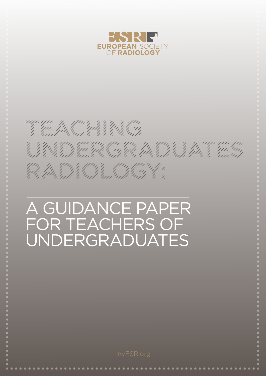

#### ypun,<br>hyun.<br>!uun. it<br>hyuitto<br>h,  $\begin{split} \frac{\partial \mathcal{L}_{\mathcal{U}}}{\partial \mathcal{L}_{\mathcal{U}}}} \frac{\partial \mathcal{L}_{\mathcal{U}}}{\partial \mathcal{L}_{\mathcal{U}}}} \frac{\partial \mathcal{L}_{\mathcal{U}}}{\partial \mathcal{L}_{\mathcal{U}}}} \frac{\partial \mathcal{L}_{\mathcal{U}}}{\partial \mathcal{L}_{\mathcal{U}}}} \frac{\partial \mathcal{L}_{\mathcal{U}}}{\partial \mathcal{L}_{\mathcal{U}}}} \frac{\partial \mathcal{L}_{\mathcal{U}}}{\partial \mathcal{L}_{\mathcal{U}}}} \frac{\partial \mathcal{L}_{\mathcal{U}}}{\partial \mathcal{$ Anderson ellen<br>Strangfel<br>Strangfeld an<br>Munit ffuting .<br>!!!!<br>!!!!!! ing<br>Municipality<br>Municipality ing<br>Mula yyuu.<br>hyuu.<br>huun **MARITANIA** , ffttin<br>, film<br>, <sup>th</sup>imilli |||||<br>||||<br>||||| yyun<br>yyun,<br>yyuun, 14 March 11 14<br>14<br>14<br>14 ffunding the first formulation ||<sup>||||</sup><br>|<sup>||||||</sup> 14 April 14 indh  $\frac{1}{11111}$ ,,,,<br><sup>uuu</sup>u<br>...dll umm//<br>|<br>| in<br>Munn **HANNANNA** 1/1/1/1/1/1 ffun<sub>tion</sub> illy<br>Mynne Municipality<br>Municipality  $\gamma$ un<br>...lli  $\mathcal{U}$

# A GUIDANCE PAPER FOR TEACHERS OF UNDERGRADUATES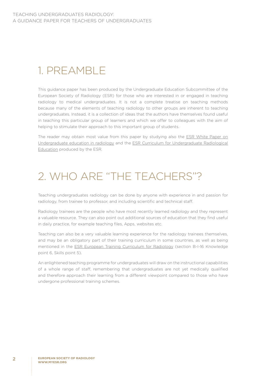# 1. PREAMBLE

This guidance paper has been produced by the Undergraduate Education Subcommittee of the European Society of Radiology (ESR) for those who are interested in or engaged in teaching radiology to medical undergraduates. It is not a complete treatise on teaching methods because many of the elements of teaching radiology to other groups are inherent to teaching undergraduates. Instead, it is a collection of ideas that the authors have themselves found useful in teaching this particular group of learners and which we offer to colleagues with the aim of helping to stimulate their approach to this important group of students.

The reader may obtain most value from this paper by studying also the ESR White Paper on Undergraduate education in radiology and the ESR Curriculum for Undergraduate Radiological Education produced by the ESR.

# 2. WHO ARE "THE TEACHERS"?

Teaching undergraduates radiology can be done by anyone with experience in and passion for radiology, from trainee to professor, and including scientific and technical staff.

Radiology trainees are the people who have most recently learned radiology and they represent a valuable resource. They can also point out additional sources of education that they find useful in daily practice, for example teaching files, Apps, websites etc.

Teaching can also be a very valuable learning experience for the radiology trainees themselves, and may be an obligatory part of their training curriculum in some countries, as well as being mentioned in the ESR European Training Curriculum for Radiology (section B-I-16 Knowledge point 6, Skills point 5).

An enlightened teaching programme for undergraduates will draw on the instructional capabilities of a whole range of staff, remembering that undergraduates are not yet medically qualified and therefore approach their learning from a different viewpoint compared to those who have undergone professional training schemes.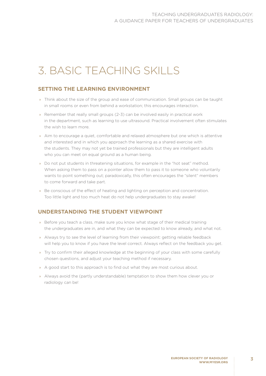# 3. BASIC TEACHING SKILLS

# **SETTING THE LEARNING ENVIRONMENT**

- » Think about the size of the group and ease of communication. Small groups can be taught in small rooms or even from behind a workstation; this encourages interaction.
- » Remember that really small groups (2-3) can be involved easily in practical work in the department, such as learning to use ultrasound. Practical involvement often stimulates the wish to learn more.
- » Aim to encourage a quiet, comfortable and relaxed atmosphere but one which is attentive and interested and in which you approach the learning as a shared exercise with the students. They may not yet be trained professionals but they are intelligent adults who you can meet on equal ground as a human being.
- » Do not put students in threatening situations, for example in the "hot seat" method. When asking them to pass on a pointer allow them to pass it to someone who voluntarily wants to point something out; paradoxically, this often encourages the "silent" members to come forward and take part.
- » Be conscious of the effect of heating and lighting on perception and concentration. Too little light and too much heat do not help undergraduates to stay awake!

### **UNDERSTANDING THE STUDENT VIEWPOINT**

- » Before you teach a class, make sure you know what stage of their medical training the undergraduates are in, and what they can be expected to know already, and what not.
- » Always try to see the level of learning from their viewpoint: getting reliable feedback will help you to know if you have the level correct. Always reflect on the feedback you get.
- » Try to confirm their alleged knowledge at the beginning of your class with some carefully chosen questions, and adjust your teaching method if necessary.
- » A good start to this approach is to find out what they are most curious about.
- » Always avoid the (partly understandable) temptation to show them how clever you or radiology can be!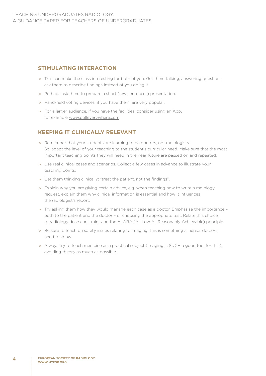# **STIMULATING INTERACTION**

- » This can make the class interesting for both of you. Get them talking, answering questions; ask them to describe findings instead of you doing it.
- » Perhaps ask them to prepare a short (few sentences) presentation.
- » Hand-held voting devices, if you have them, are very popular.
- » For a larger audience, if you have the facilities, consider using an App, for example www.polleverywhere.com.

#### **KEEPING IT CLINICALLY RELEVANT**

- » Remember that your students are learning to be doctors, not radiologists. So, adapt the level of your teaching to the student's curricular need. Make sure that the most important teaching points they will need in the near future are passed on and repeated.
- » Use real clinical cases and scenarios. Collect a few cases in advance to illustrate your teaching points.
- » Get them thinking clinically: "treat the patient, not the findings".
- » Explain why you are giving certain advice, e.g. when teaching how to write a radiology request, explain them why clinical information is essential and how it influences the radiologist's report.
- » Try asking them how they would manage each case as a doctor. Emphasise the importance both to the patient and the doctor – of choosing the appropriate test. Relate this choice to radiology dose constraint and the ALARA (As Low As Reasonably Achievable) principle.
- » Be sure to teach on safety issues relating to imaging: this is something all junior doctors need to know.
- » Always try to teach medicine as a practical subject (imaging is SUCH a good tool for this), avoiding theory as much as possible.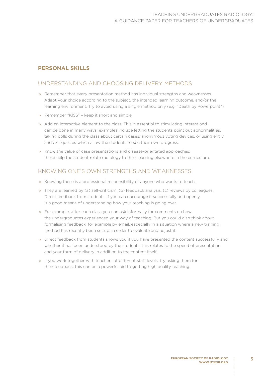# **PERSONAL SKILLS**

# UNDERSTANDING AND CHOOSING DELIVERY METHODS

- » Remember that every presentation method has individual strengths and weaknesses. Adapt your choice according to the subject, the intended learning outcome, and/or the learning environment. Try to avoid using a single method only (e.g. "Death by Powerpoint").
- » Remember "KISS" keep it short and simple.
- » Add an interactive element to the class. This is essential to stimulating interest and can be done in many ways: examples include letting the students point out abnormalities, taking polls during the class about certain cases, anonymous voting devices, or using entry and exit quizzes which allow the students to see their own progress.
- » Know the value of case presentations and disease-orientated approaches: these help the student relate radiology to their learning elsewhere in the curriculum.

# KNOWING ONE'S OWN STRENGTHS AND WEAKNESSES

- » Knowing these is a professional responsibility of anyone who wants to teach.
- » They are learned by (a) self-criticism, (b) feedback analysis, (c) reviews by colleagues. Direct feedback from students, if you can encourage it successfully and openly, is a good means of understanding how your teaching is going over.
- » For example, after each class you can ask informally for comments on how the undergraduates experienced your way of teaching. But you could also think about formalising feedback, for example by email, especially in a situation where a new training method has recently been set up, in order to evaluate and adjust it.
- » Direct feedback from students shows you if you have presented the content successfully and whether it has been understood by the students: this relates to the speed of presentation and your form of delivery in addition to the content itself.
- » If you work together with teachers at different staff levels, try asking them for their feedback: this can be a powerful aid to getting high quality teaching.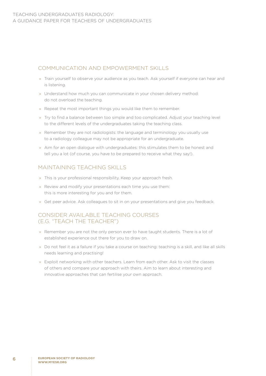# COMMUNICATION AND EMPOWERMENT SKILLS

- » Train yourself to observe your audience as you teach. Ask yourself if everyone can hear and is listening.
- » Understand how much you can communicate in your chosen delivery method: do not overload the teaching.
- » Repeat the most important things you would like them to remember.
- » Try to find a balance between too simple and too complicated. Adjust your teaching level to the different levels of the undergraduates taking the teaching class.
- » Remember they are not radiologists: the language and terminology you usually use to a radiology colleague may not be appropriate for an undergraduate.
- » Aim for an open dialogue with undergraduates: this stimulates them to be honest and tell you a lot (of course, you have to be prepared to receive what they say!).

# MAINTAINING TEACHING SKILLS

- » This is your professional responsibility. Keep your approach fresh.
- » Review and modify your presentations each time you use them: this is more interesting for you and for them.
- » Get peer advice. Ask colleagues to sit in on your presentations and give you feedback.

# CONSIDER AVAILABLE TEACHING COURSES (E.G. "TEACH THE TEACHER")

- » Remember you are not the only person ever to have taught students. There is a lot of established experience out there for you to draw on.
- » Do not feel it as a failure if you take a course on teaching: teaching is a skill, and like all skills needs learning and practising!
- » Exploit networking with other teachers. Learn from each other. Ask to visit the classes of others and compare your approach with theirs. Aim to learn about interesting and innovative approaches that can fertilise your own approach.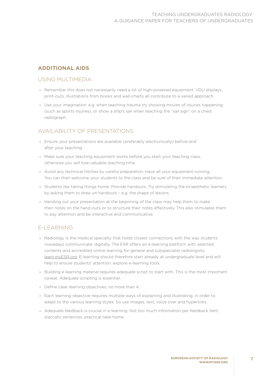# **ADDITIONAL AIDS**

# USING MULTIMEDIA

- » Remember this does not necessarily need a lot of high-powered equipment. VDU displays, print-outs, illustrations from books and wall-charts all contribute to a varied approach.
- » Use your imagination: e.g. when teaching trauma try showing movies of injuries happening (such as sports injuries), or show a ship's sail when teaching the "sail sign" on a chest radiograph.

# AVAILABILITY OF PRESENTATIONS

- » Ensure your presentations are available (preferably electronically) before and after your teaching.
- » Make sure your teaching equipment works before you start your teaching class, otherwise you will lose valuable teaching time.
- » Avoid any technical hitches by careful preparation. Have all your equipment running. You can then welcome your students to the class and be sure of their immediate attention.
- » Students like taking things home. Provide handouts. Try stimulating the kinaesthetic learners by asking them to draw on handouts – e.g. the shape of lesions.
- » Handing out your presentation at the beginning of the class may help them to make their notes on the hand-outs or to structure their notes effectively. This also stimulates them to pay attention and be interactive and communicative.

# E-LEARNING

- » Radiology is the medical specialty that holds closest connections with the way students nowadays communicate: digitally. The ESR offers an e-learning platform with selected contents and accredited online learning for general and subspecialist radiologists: learn.myESR.org. E-learning should therefore start already at undergraduate level and will help to ensure students' attention: explore e-learning tools.
- » Building e-learning material requires adequate script to start with. This is the most important caveat. Adequate scripting is essential.
- » Define clear learning objectives: no more than 4.
- » Each learning objective requires multiple ways of explaining and illustrating, in order to adapt to the various learning styles. So use images, text, voice over and hyperlinks.
- » Adequate feedback is crucial in e-learning. Not too much information per feedback item, staccato sentences, practical take-home.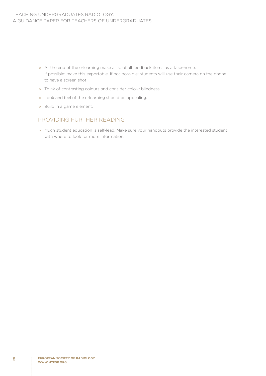#### TEACHING UNDERGRADUATES RADIOLOGY: A GUIDANCE PAPER FOR TEACHERS OF UNDERGRADUATES

- » At the end of the e-learning make a list of all feedback items as a take-home. If possible: make this exportable. If not possible: students will use their camera on the phone to have a screen shot.
- » Think of contrasting colours and consider colour blindness.
- » Look and feel of the e-learning should be appealing.
- » Build in a game element.

# PROVIDING FURTHER READING

» Much student education is self-lead. Make sure your handouts provide the interested student with where to look for more information.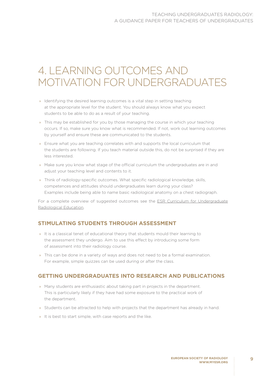# 4. LEARNING OUTCOMES AND MOTIVATION FOR UNDERGRADUATES

- » Identifying the desired learning outcomes is a vital step in setting teaching at the appropriate level for the student. You should always know what you expect students to be able to do as a result of your teaching.
- » This may be established for you by those managing the course in which your teaching occurs. If so, make sure you know what is recommended. If not, work out learning outcomes by yourself and ensure these are communicated to the students.
- » Ensure what you are teaching correlates with and supports the local curriculum that the students are following. If you teach material outside this, do not be surprised if they are less interested.
- » Make sure you know what stage of the official curriculum the undergraduates are in and adjust your teaching level and contents to it.
- » Think of radiology-specific outcomes. What specific radiological knowledge, skills, competences and attitudes should undergraduates learn during your class? Examples include being able to name basic radiological anatomy on a chest radiograph.

For a complete overview of suggested outcomes see the ESR Curriculum for Undergraduate Radiological Education.

### **STIMULATING STUDENTS THROUGH ASSESSMENT**

- » It is a classical tenet of educational theory that students mould their learning to the assessment they undergo. Aim to use this effect by introducing some form of assessment into their radiology course.
- » This can be done in a variety of ways and does not need to be a formal examination. For example, simple quizzes can be used during or after the class.

### **GETTING UNDERGRADUATES INTO RESEARCH AND PUBLICATIONS**

- » Many students are enthusiastic about taking part in projects in the department. This is particularly likely if they have had some exposure to the practical work of the department.
- » Students can be attracted to help with projects that the department has already in hand.
- » It is best to start simple, with case reports and the like.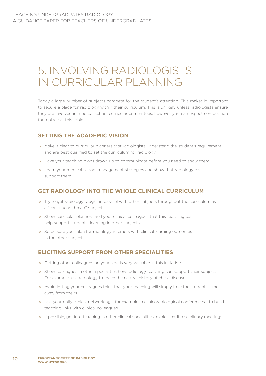# 5. INVOLVING RADIOLOGISTS IN CURRICULAR PLANNING

Today a large number of subjects compete for the student's attention. This makes it important to secure a place for radiology within their curriculum. This is unlikely unless radiologists ensure they are involved in medical school curricular committees: however you can expect competition for a place at this table.

# **SETTING THE ACADEMIC VISION**

- » Make it clear to curricular planners that radiologists understand the student's requirement and are best qualified to set the curriculum for radiology.
- » Have your teaching plans drawn up to communicate before you need to show them.
- » Learn your medical school management strategies and show that radiology can support them.

### **GET RADIOLOGY INTO THE WHOLE CLINICAL CURRICULUM**

- » Try to get radiology taught in parallel with other subjects throughout the curriculum as a "continuous thread" subject.
- » Show curricular planners and your clinical colleagues that this teaching can help support student's learning in other subjects.
- » So be sure your plan for radiology interacts with clinical learning outcomes in the other subjects.

# **ELICITING SUPPORT FROM OTHER SPECIALITIES**

- » Getting other colleagues on your side is very valuable in this initiative.
- » Show colleagues in other specialities how radiology teaching can support their subject. For example, use radiology to teach the natural history of chest disease.
- » Avoid letting your colleagues think that your teaching will simply take the student's time away from theirs.
- » Use your daily clinical networking for example in clinicoradiological conferences to build teaching links with clinical colleagues.
- » If possible, get into teaching in other clinical specialities: exploit multidisciplinary meetings.